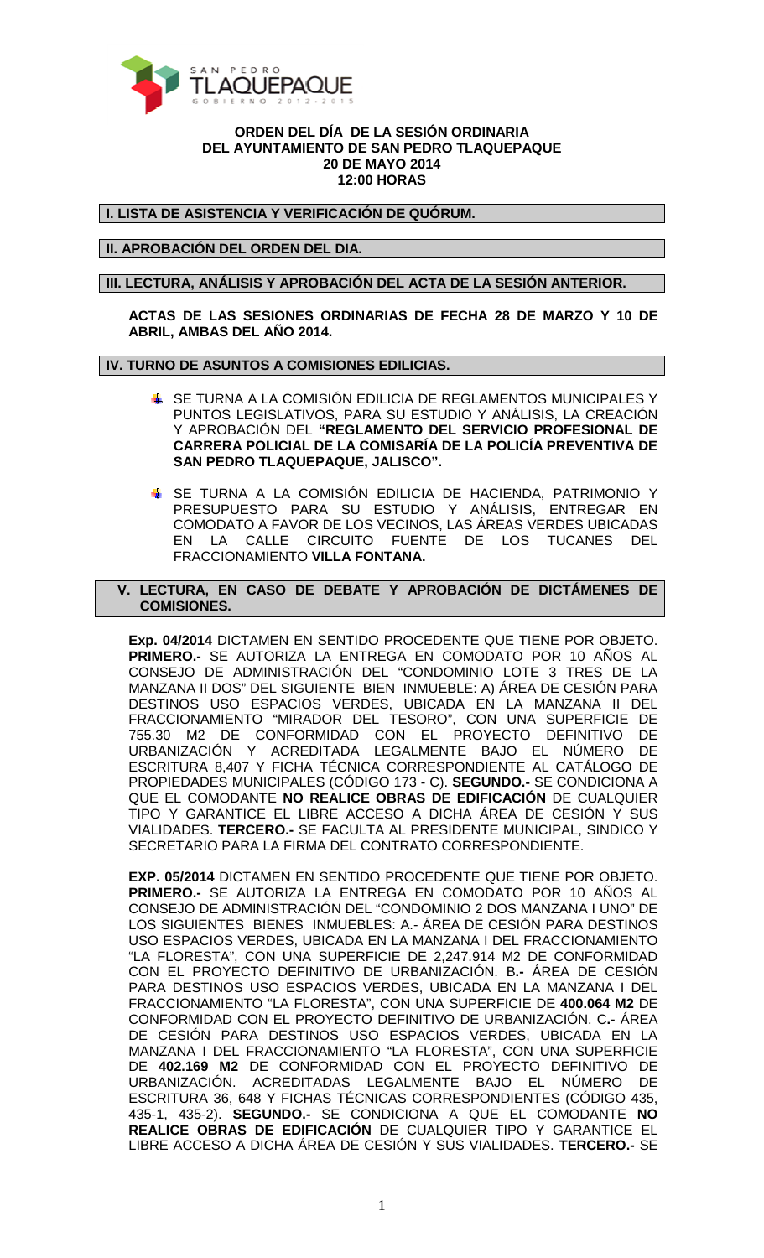

## **ORDEN DEL DÍA DE LA SESIÓN ORDINARIA DEL AYUNTAMIENTO DE SAN PEDRO TLAQUEPAQUE 20 DE MAYO 2014 12:00 HORAS**

**I. LISTA DE ASISTENCIA Y VERIFICACIÓN DE QUÓRUM.** 

**II. APROBACIÓN DEL ORDEN DEL DIA.** 

**III. LECTURA, ANÁLISIS Y APROBACIÓN DEL ACTA DE LA SESIÓN ANTERIOR.** 

**ACTAS DE LAS SESIONES ORDINARIAS DE FECHA 28 DE MARZO Y 10 DE ABRIL, AMBAS DEL AÑO 2014.** 

## **IV. TURNO DE ASUNTOS A COMISIONES EDILICIAS.**

- SE TURNA A LA COMISIÓN EDILICIA DE REGLAMENTOS MUNICIPALES Y PUNTOS LEGISLATIVOS, PARA SU ESTUDIO Y ANÁLISIS, LA CREACIÓN Y APROBACIÓN DEL **"REGLAMENTO DEL SERVICIO PROFESIONAL DE CARRERA POLICIAL DE LA COMISARÍA DE LA POLICÍA PREVENTIVA DE SAN PEDRO TLAQUEPAQUE, JALISCO".**
- SE TURNA A LA COMISIÓN EDILICIA DE HACIENDA, PATRIMONIO Y PRESUPUESTO PARA SU ESTUDIO Y ANÁLISIS, ENTREGAR EN COMODATO A FAVOR DE LOS VECINOS, LAS ÁREAS VERDES UBICADAS EN LA CALLE CIRCUITO FUENTE DE LOS TUCANES DEL FRACCIONAMIENTO **VILLA FONTANA.**
- **V. LECTURA, EN CASO DE DEBATE Y APROBACIÓN DE DICTÁMENES DE COMISIONES.**

**Exp. 04/2014** DICTAMEN EN SENTIDO PROCEDENTE QUE TIENE POR OBJETO. **PRIMERO.-** SE AUTORIZA LA ENTREGA EN COMODATO POR 10 AÑOS AL CONSEJO DE ADMINISTRACIÓN DEL "CONDOMINIO LOTE 3 TRES DE LA MANZANA II DOS" DEL SIGUIENTE BIEN INMUEBLE: A) ÁREA DE CESIÓN PARA DESTINOS USO ESPACIOS VERDES, UBICADA EN LA MANZANA II DEL FRACCIONAMIENTO "MIRADOR DEL TESORO", CON UNA SUPERFICIE DE 755.30 M2 DE CONFORMIDAD CON EL PROYECTO DEFINITIVO DE URBANIZACIÓN Y ACREDITADA LEGALMENTE BAJO EL NÚMERO DE ESCRITURA 8,407 Y FICHA TÉCNICA CORRESPONDIENTE AL CATÁLOGO DE PROPIEDADES MUNICIPALES (CÓDIGO 173 - C). **SEGUNDO.-** SE CONDICIONA A QUE EL COMODANTE **NO REALICE OBRAS DE EDIFICACIÓN** DE CUALQUIER TIPO Y GARANTICE EL LIBRE ACCESO A DICHA ÁREA DE CESIÓN Y SUS VIALIDADES. **TERCERO.-** SE FACULTA AL PRESIDENTE MUNICIPAL, SINDICO Y SECRETARIO PARA LA FIRMA DEL CONTRATO CORRESPONDIENTE.

**EXP. 05/2014** DICTAMEN EN SENTIDO PROCEDENTE QUE TIENE POR OBJETO. **PRIMERO.-** SE AUTORIZA LA ENTREGA EN COMODATO POR 10 AÑOS AL CONSEJO DE ADMINISTRACIÓN DEL "CONDOMINIO 2 DOS MANZANA I UNO" DE LOS SIGUIENTES BIENES INMUEBLES: A.- ÁREA DE CESIÓN PARA DESTINOS USO ESPACIOS VERDES, UBICADA EN LA MANZANA I DEL FRACCIONAMIENTO "LA FLORESTA", CON UNA SUPERFICIE DE 2,247.914 M2 DE CONFORMIDAD CON EL PROYECTO DEFINITIVO DE URBANIZACIÓN. B**.-** ÁREA DE CESIÓN PARA DESTINOS USO ESPACIOS VERDES, UBICADA EN LA MANZANA I DEL FRACCIONAMIENTO "LA FLORESTA", CON UNA SUPERFICIE DE **400.064 M2** DE CONFORMIDAD CON EL PROYECTO DEFINITIVO DE URBANIZACIÓN. C**.-** ÁREA DE CESIÓN PARA DESTINOS USO ESPACIOS VERDES, UBICADA EN LA MANZANA I DEL FRACCIONAMIENTO "LA FLORESTA", CON UNA SUPERFICIE DE **402.169 M2** DE CONFORMIDAD CON EL PROYECTO DEFINITIVO DE URBANIZACIÓN. ACREDITADAS LEGALMENTE BAJO EL NÚMERO DE ESCRITURA 36, 648 Y FICHAS TÉCNICAS CORRESPONDIENTES (CÓDIGO 435, 435-1, 435-2). **SEGUNDO.-** SE CONDICIONA A QUE EL COMODANTE **NO REALICE OBRAS DE EDIFICACIÓN** DE CUALQUIER TIPO Y GARANTICE EL LIBRE ACCESO A DICHA ÁREA DE CESIÓN Y SUS VIALIDADES. **TERCERO.-** SE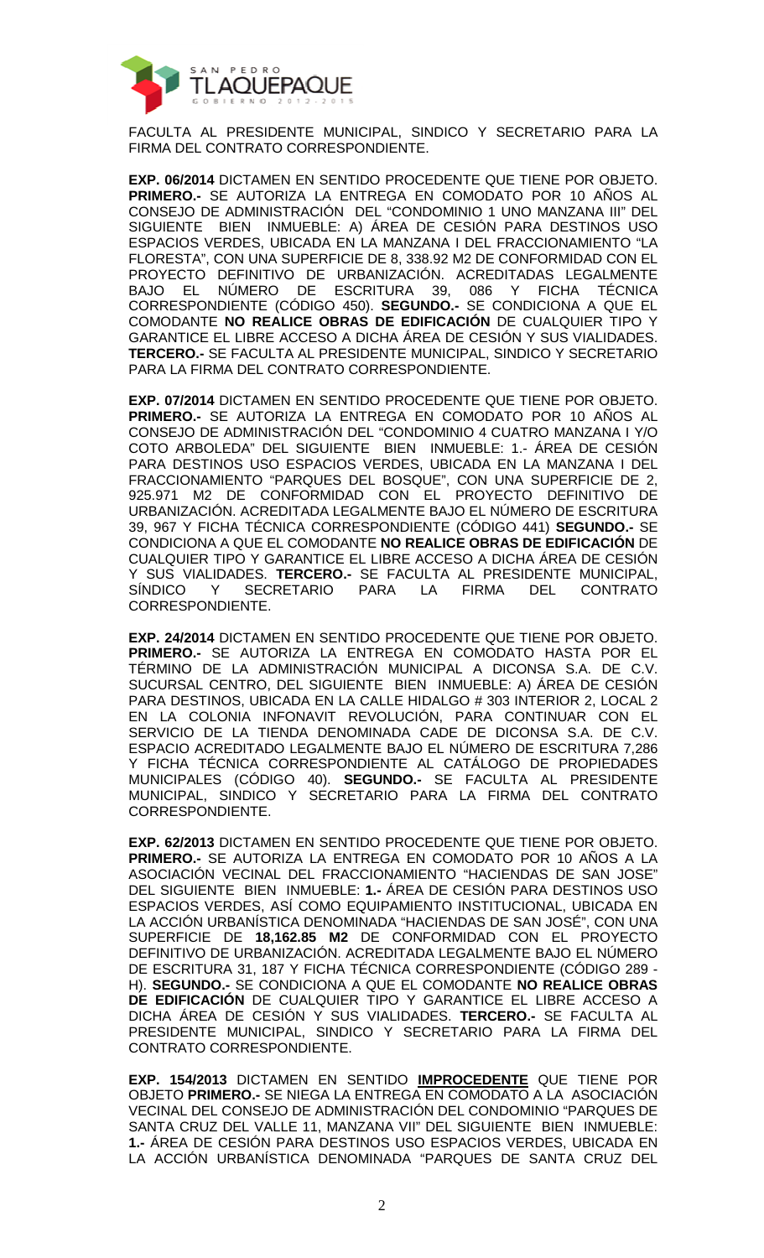

FACULTA AL PRESIDENTE MUNICIPAL, SINDICO Y SECRETARIO PARA LA FIRMA DEL CONTRATO CORRESPONDIENTE.

**EXP. 06/2014** DICTAMEN EN SENTIDO PROCEDENTE QUE TIENE POR OBJETO. **PRIMERO.-** SE AUTORIZA LA ENTREGA EN COMODATO POR 10 AÑOS AL CONSEJO DE ADMINISTRACIÓN DEL "CONDOMINIO 1 UNO MANZANA III" DEL SIGUIENTE BIEN INMUEBLE: A) ÁREA DE CESIÓN PARA DESTINOS USO ESPACIOS VERDES, UBICADA EN LA MANZANA I DEL FRACCIONAMIENTO "LA FLORESTA", CON UNA SUPERFICIE DE 8, 338.92 M2 DE CONFORMIDAD CON EL PROYECTO DEFINITIVO DE URBANIZACIÓN. ACREDITADAS LEGALMENTE BAJO EL NÚMERO DE ESCRITURA 39, 086 Y FICHA TÉCNICA CORRESPONDIENTE (CÓDIGO 450). **SEGUNDO.-** SE CONDICIONA A QUE EL COMODANTE **NO REALICE OBRAS DE EDIFICACIÓN** DE CUALQUIER TIPO Y GARANTICE EL LIBRE ACCESO A DICHA ÁREA DE CESIÓN Y SUS VIALIDADES. **TERCERO.-** SE FACULTA AL PRESIDENTE MUNICIPAL, SINDICO Y SECRETARIO PARA LA FIRMA DEL CONTRATO CORRESPONDIENTE.

**EXP. 07/2014** DICTAMEN EN SENTIDO PROCEDENTE QUE TIENE POR OBJETO. **PRIMERO.-** SE AUTORIZA LA ENTREGA EN COMODATO POR 10 AÑOS AL CONSEJO DE ADMINISTRACIÓN DEL "CONDOMINIO 4 CUATRO MANZANA I Y/O COTO ARBOLEDA" DEL SIGUIENTE BIEN INMUEBLE: 1.- ÁREA DE CESIÓN PARA DESTINOS USO ESPACIOS VERDES, UBICADA EN LA MANZANA I DEL FRACCIONAMIENTO "PARQUES DEL BOSQUE", CON UNA SUPERFICIE DE 2, 925.971 M2 DE CONFORMIDAD CON EL PROYECTO DEFINITIVO DE URBANIZACIÓN. ACREDITADA LEGALMENTE BAJO EL NÚMERO DE ESCRITURA 39, 967 Y FICHA TÉCNICA CORRESPONDIENTE (CÓDIGO 441) **SEGUNDO.-** SE CONDICIONA A QUE EL COMODANTE **NO REALICE OBRAS DE EDIFICACIÓN** DE CUALQUIER TIPO Y GARANTICE EL LIBRE ACCESO A DICHA ÁREA DE CESIÓN Y SUS VIALIDADES. **TERCERO.-** SE FACULTA AL PRESIDENTE MUNICIPAL, SÍNDICO Y SECRETARIO PARA LA FIRMA DEL CONTRATO CORRESPONDIENTE.

**EXP. 24/2014** DICTAMEN EN SENTIDO PROCEDENTE QUE TIENE POR OBJETO. **PRIMERO.-** SE AUTORIZA LA ENTREGA EN COMODATO HASTA POR EL TÉRMINO DE LA ADMINISTRACIÓN MUNICIPAL A DICONSA S.A. DE C.V. SUCURSAL CENTRO, DEL SIGUIENTE BIEN INMUEBLE: A) ÁREA DE CESIÓN PARA DESTINOS, UBICADA EN LA CALLE HIDALGO # 303 INTERIOR 2, LOCAL 2 EN LA COLONIA INFONAVIT REVOLUCIÓN, PARA CONTINUAR CON EL SERVICIO DE LA TIENDA DENOMINADA CADE DE DICONSA S.A. DE C.V. ESPACIO ACREDITADO LEGALMENTE BAJO EL NÚMERO DE ESCRITURA 7,286 Y FICHA TÉCNICA CORRESPONDIENTE AL CATÁLOGO DE PROPIEDADES MUNICIPALES (CÓDIGO 40). **SEGUNDO.-** SE FACULTA AL PRESIDENTE MUNICIPAL, SINDICO Y SECRETARIO PARA LA FIRMA DEL CONTRATO CORRESPONDIENTE.

**EXP. 62/2013** DICTAMEN EN SENTIDO PROCEDENTE QUE TIENE POR OBJETO. **PRIMERO.-** SE AUTORIZA LA ENTREGA EN COMODATO POR 10 AÑOS A LA ASOCIACIÓN VECINAL DEL FRACCIONAMIENTO "HACIENDAS DE SAN JOSE" DEL SIGUIENTE BIEN INMUEBLE: **1.-** ÁREA DE CESIÓN PARA DESTINOS USO ESPACIOS VERDES, ASÍ COMO EQUIPAMIENTO INSTITUCIONAL, UBICADA EN LA ACCIÓN URBANÍSTICA DENOMINADA "HACIENDAS DE SAN JOSÉ", CON UNA SUPERFICIE DE **18,162.85 M2** DE CONFORMIDAD CON EL PROYECTO DEFINITIVO DE URBANIZACIÓN. ACREDITADA LEGALMENTE BAJO EL NÚMERO DE ESCRITURA 31, 187 Y FICHA TÉCNICA CORRESPONDIENTE (CÓDIGO 289 - H). **SEGUNDO.-** SE CONDICIONA A QUE EL COMODANTE **NO REALICE OBRAS DE EDIFICACIÓN** DE CUALQUIER TIPO Y GARANTICE EL LIBRE ACCESO A DICHA ÁREA DE CESIÓN Y SUS VIALIDADES. **TERCERO.-** SE FACULTA AL PRESIDENTE MUNICIPAL, SINDICO Y SECRETARIO PARA LA FIRMA DEL CONTRATO CORRESPONDIENTE.

**EXP. 154/2013** DICTAMEN EN SENTIDO **IMPROCEDENTE** QUE TIENE POR OBJETO **PRIMERO.-** SE NIEGA LA ENTREGA EN COMODATO A LA ASOCIACIÓN VECINAL DEL CONSEJO DE ADMINISTRACIÓN DEL CONDOMINIO "PARQUES DE SANTA CRUZ DEL VALLE 11, MANZANA VII" DEL SIGUIENTE BIEN INMUEBLE: **1.-** ÁREA DE CESIÓN PARA DESTINOS USO ESPACIOS VERDES, UBICADA EN LA ACCIÓN URBANÍSTICA DENOMINADA "PARQUES DE SANTA CRUZ DEL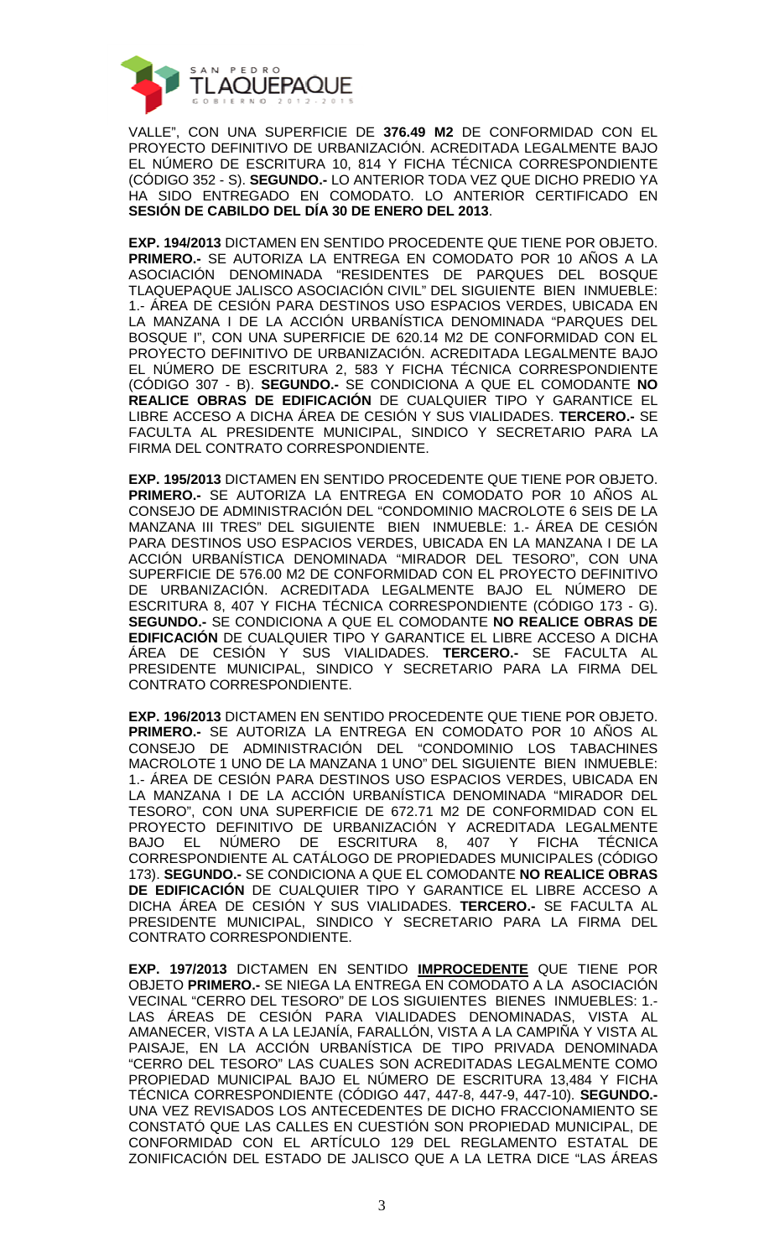

VALLE", CON UNA SUPERFICIE DE **376.49 M2** DE CONFORMIDAD CON EL PROYECTO DEFINITIVO DE URBANIZACIÓN. ACREDITADA LEGALMENTE BAJO EL NÚMERO DE ESCRITURA 10, 814 Y FICHA TÉCNICA CORRESPONDIENTE (CÓDIGO 352 - S). **SEGUNDO.-** LO ANTERIOR TODA VEZ QUE DICHO PREDIO YA HA SIDO ENTREGADO EN COMODATO. LO ANTERIOR CERTIFICADO EN **SESIÓN DE CABILDO DEL DÍA 30 DE ENERO DEL 2013**.

**EXP. 194/2013** DICTAMEN EN SENTIDO PROCEDENTE QUE TIENE POR OBJETO. **PRIMERO.-** SE AUTORIZA LA ENTREGA EN COMODATO POR 10 AÑOS A LA ASOCIACIÓN DENOMINADA "RESIDENTES DE PARQUES DEL BOSQUE TLAQUEPAQUE JALISCO ASOCIACIÓN CIVIL" DEL SIGUIENTE BIEN INMUEBLE: 1.- ÁREA DE CESIÓN PARA DESTINOS USO ESPACIOS VERDES, UBICADA EN LA MANZANA I DE LA ACCIÓN URBANÍSTICA DENOMINADA "PARQUES DEL BOSQUE I", CON UNA SUPERFICIE DE 620.14 M2 DE CONFORMIDAD CON EL PROYECTO DEFINITIVO DE URBANIZACIÓN. ACREDITADA LEGALMENTE BAJO EL NÚMERO DE ESCRITURA 2, 583 Y FICHA TÉCNICA CORRESPONDIENTE (CÓDIGO 307 - B). **SEGUNDO.-** SE CONDICIONA A QUE EL COMODANTE **NO REALICE OBRAS DE EDIFICACIÓN** DE CUALQUIER TIPO Y GARANTICE EL LIBRE ACCESO A DICHA ÁREA DE CESIÓN Y SUS VIALIDADES. **TERCERO.-** SE FACULTA AL PRESIDENTE MUNICIPAL, SINDICO Y SECRETARIO PARA LA FIRMA DEL CONTRATO CORRESPONDIENTE.

**EXP. 195/2013** DICTAMEN EN SENTIDO PROCEDENTE QUE TIENE POR OBJETO. **PRIMERO.-** SE AUTORIZA LA ENTREGA EN COMODATO POR 10 AÑOS AL CONSEJO DE ADMINISTRACIÓN DEL "CONDOMINIO MACROLOTE 6 SEIS DE LA MANZANA III TRES" DEL SIGUIENTE BIEN INMUEBLE: 1.- ÁREA DE CESIÓN PARA DESTINOS USO ESPACIOS VERDES, UBICADA EN LA MANZANA I DE LA ACCIÓN URBANÍSTICA DENOMINADA "MIRADOR DEL TESORO", CON UNA SUPERFICIE DE 576.00 M2 DE CONFORMIDAD CON EL PROYECTO DEFINITIVO DE URBANIZACIÓN. ACREDITADA LEGALMENTE BAJO EL NÚMERO DE ESCRITURA 8, 407 Y FICHA TÉCNICA CORRESPONDIENTE (CÓDIGO 173 - G). **SEGUNDO.-** SE CONDICIONA A QUE EL COMODANTE **NO REALICE OBRAS DE EDIFICACIÓN** DE CUALQUIER TIPO Y GARANTICE EL LIBRE ACCESO A DICHA ÁREA DE CESIÓN Y SUS VIALIDADES. **TERCERO.-** SE FACULTA AL PRESIDENTE MUNICIPAL, SINDICO Y SECRETARIO PARA LA FIRMA DEL CONTRATO CORRESPONDIENTE.

**EXP. 196/2013** DICTAMEN EN SENTIDO PROCEDENTE QUE TIENE POR OBJETO. **PRIMERO.-** SE AUTORIZA LA ENTREGA EN COMODATO POR 10 AÑOS AL CONSEJO DE ADMINISTRACIÓN DEL "CONDOMINIO LOS TABACHINES MACROLOTE 1 UNO DE LA MANZANA 1 UNO" DEL SIGUIENTE BIEN INMUEBLE: 1.- ÁREA DE CESIÓN PARA DESTINOS USO ESPACIOS VERDES, UBICADA EN LA MANZANA I DE LA ACCIÓN URBANÍSTICA DENOMINADA "MIRADOR DEL TESORO", CON UNA SUPERFICIE DE 672.71 M2 DE CONFORMIDAD CON EL PROYECTO DEFINITIVO DE URBANIZACIÓN Y ACREDITADA LEGALMENTE BAJO EL NÚMERO DE ESCRITURA 8, 407 Y FICHA TÉCNICA CORRESPONDIENTE AL CATÁLOGO DE PROPIEDADES MUNICIPALES (CÓDIGO 173). **SEGUNDO.-** SE CONDICIONA A QUE EL COMODANTE **NO REALICE OBRAS DE EDIFICACIÓN** DE CUALQUIER TIPO Y GARANTICE EL LIBRE ACCESO A DICHA ÁREA DE CESIÓN Y SUS VIALIDADES. **TERCERO.-** SE FACULTA AL PRESIDENTE MUNICIPAL, SINDICO Y SECRETARIO PARA LA FIRMA DEL CONTRATO CORRESPONDIENTE.

**EXP. 197/2013** DICTAMEN EN SENTIDO **IMPROCEDENTE** QUE TIENE POR OBJETO **PRIMERO.-** SE NIEGA LA ENTREGA EN COMODATO A LA ASOCIACIÓN VECINAL "CERRO DEL TESORO" DE LOS SIGUIENTES BIENES INMUEBLES: 1.- LAS ÁREAS DE CESIÓN PARA VIALIDADES DENOMINADAS, VISTA AL AMANECER, VISTA A LA LEJANÍA, FARALLÓN, VISTA A LA CAMPIÑA Y VISTA AL PAISAJE, EN LA ACCIÓN URBANÍSTICA DE TIPO PRIVADA DENOMINADA "CERRO DEL TESORO" LAS CUALES SON ACREDITADAS LEGALMENTE COMO PROPIEDAD MUNICIPAL BAJO EL NÚMERO DE ESCRITURA 13,484 Y FICHA TÉCNICA CORRESPONDIENTE (CÓDIGO 447, 447-8, 447-9, 447-10). **SEGUNDO.-** UNA VEZ REVISADOS LOS ANTECEDENTES DE DICHO FRACCIONAMIENTO SE CONSTATÓ QUE LAS CALLES EN CUESTIÓN SON PROPIEDAD MUNICIPAL, DE CONFORMIDAD CON EL ARTÍCULO 129 DEL REGLAMENTO ESTATAL DE ZONIFICACIÓN DEL ESTADO DE JALISCO QUE A LA LETRA DICE "LAS ÁREAS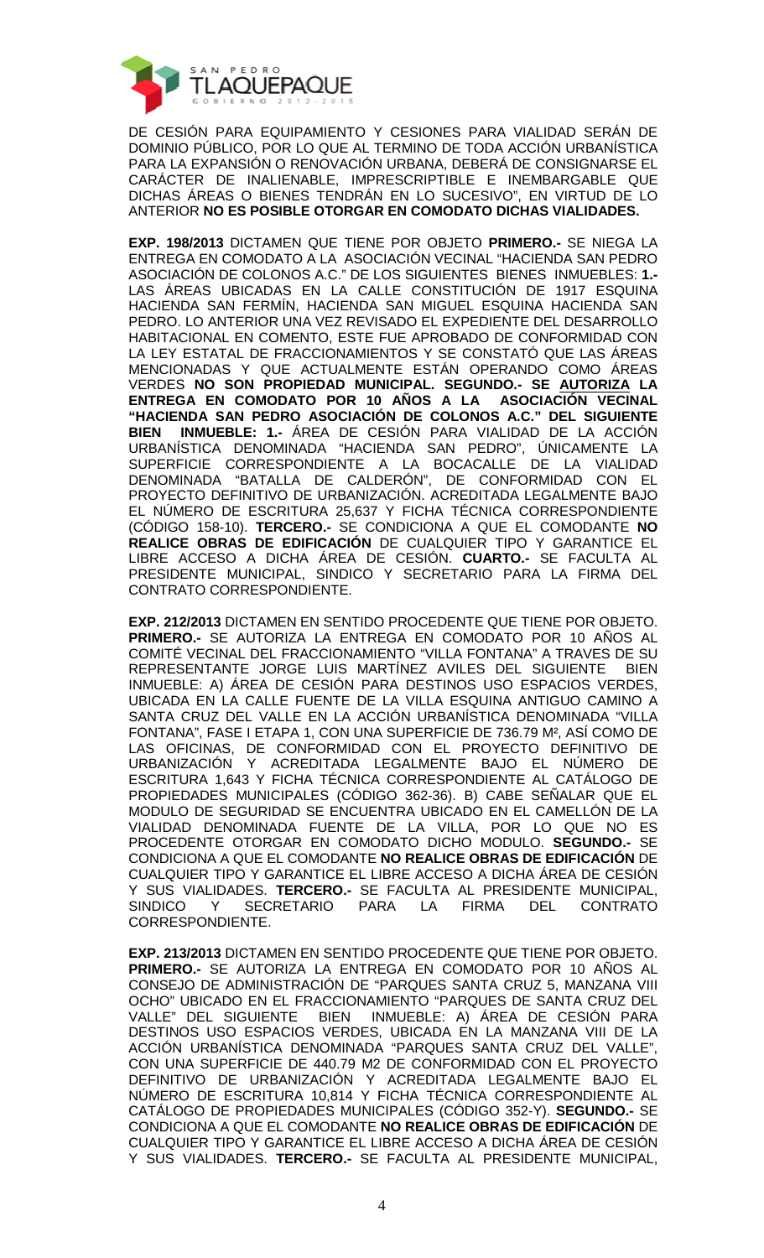

DE CESIÓN PARA EQUIPAMIENTO Y CESIONES PARA VIALIDAD SERÁN DE DOMINIO PÚBLICO, POR LO QUE AL TERMINO DE TODA ACCIÓN URBANÍSTICA PARA LA EXPANSIÓN O RENOVACIÓN URBANA, DEBERÁ DE CONSIGNARSE EL CARÁCTER DE INALIENABLE, IMPRESCRIPTIBLE E INEMBARGABLE QUE DICHAS ÁREAS O BIENES TENDRÁN EN LO SUCESIVO", EN VIRTUD DE LO ANTERIOR **NO ES POSIBLE OTORGAR EN COMODATO DICHAS VIALIDADES.** 

**EXP. 198/2013** DICTAMEN QUE TIENE POR OBJETO **PRIMERO.-** SE NIEGA LA ENTREGA EN COMODATO A LA ASOCIACIÓN VECINAL "HACIENDA SAN PEDRO ASOCIACIÓN DE COLONOS A.C." DE LOS SIGUIENTES BIENES INMUEBLES: **1.-**  LAS ÁREAS UBICADAS EN LA CALLE CONSTITUCIÓN DE 1917 ESQUINA HACIENDA SAN FERMÍN, HACIENDA SAN MIGUEL ESQUINA HACIENDA SAN PEDRO. LO ANTERIOR UNA VEZ REVISADO EL EXPEDIENTE DEL DESARROLLO HABITACIONAL EN COMENTO, ESTE FUE APROBADO DE CONFORMIDAD CON LA LEY ESTATAL DE FRACCIONAMIENTOS Y SE CONSTATÓ QUE LAS ÁREAS MENCIONADAS Y QUE ACTUALMENTE ESTÁN OPERANDO COMO ÁREAS VERDES **NO SON PROPIEDAD MUNICIPAL. SEGUNDO.- SE AUTORIZA LA ENTREGA EN COMODATO POR 10 AÑOS A LA ASOCIACIÓN VECINAL "HACIENDA SAN PEDRO ASOCIACIÓN DE COLONOS A.C." DEL SIGUIENTE BIEN INMUEBLE: 1.-** ÁREA DE CESIÓN PARA VIALIDAD DE LA ACCIÓN URBANÍSTICA DENOMINADA "HACIENDA SAN PEDRO", ÚNICAMENTE LA SUPERFICIE CORRESPONDIENTE A LA BOCACALLE DE LA VIALIDAD DENOMINADA "BATALLA DE CALDERÓN", DE CONFORMIDAD CON EL PROYECTO DEFINITIVO DE URBANIZACIÓN. ACREDITADA LEGALMENTE BAJO EL NÚMERO DE ESCRITURA 25,637 Y FICHA TÉCNICA CORRESPONDIENTE (CÓDIGO 158-10). **TERCERO.-** SE CONDICIONA A QUE EL COMODANTE **NO REALICE OBRAS DE EDIFICACIÓN** DE CUALQUIER TIPO Y GARANTICE EL LIBRE ACCESO A DICHA ÁREA DE CESIÓN. **CUARTO.-** SE FACULTA AL PRESIDENTE MUNICIPAL, SINDICO Y SECRETARIO PARA LA FIRMA DEL CONTRATO CORRESPONDIENTE.

**EXP. 212/2013** DICTAMEN EN SENTIDO PROCEDENTE QUE TIENE POR OBJETO. **PRIMERO.-** SE AUTORIZA LA ENTREGA EN COMODATO POR 10 AÑOS AL COMITÉ VECINAL DEL FRACCIONAMIENTO "VILLA FONTANA" A TRAVES DE SU REPRESENTANTE JORGE LUIS MARTÍNEZ AVILES DEL SIGUIENTE BIEN INMUEBLE: A) ÁREA DE CESIÓN PARA DESTINOS USO ESPACIOS VERDES, UBICADA EN LA CALLE FUENTE DE LA VILLA ESQUINA ANTIGUO CAMINO A SANTA CRUZ DEL VALLE EN LA ACCIÓN URBANÍSTICA DENOMINADA "VILLA FONTANA", FASE I ETAPA 1, CON UNA SUPERFICIE DE 736.79 M², ASÍ COMO DE LAS OFICINAS, DE CONFORMIDAD CON EL PROYECTO DEFINITIVO DE URBANIZACIÓN Y ACREDITADA LEGALMENTE BAJO EL NÚMERO DE ESCRITURA 1,643 Y FICHA TÉCNICA CORRESPONDIENTE AL CATÁLOGO DE PROPIEDADES MUNICIPALES (CÓDIGO 362-36). B) CABE SEÑALAR QUE EL MODULO DE SEGURIDAD SE ENCUENTRA UBICADO EN EL CAMELLÓN DE LA VIALIDAD DENOMINADA FUENTE DE LA VILLA, POR LO QUE NO ES PROCEDENTE OTORGAR EN COMODATO DICHO MODULO. **SEGUNDO.-** SE CONDICIONA A QUE EL COMODANTE **NO REALICE OBRAS DE EDIFICACIÓN** DE CUALQUIER TIPO Y GARANTICE EL LIBRE ACCESO A DICHA ÁREA DE CESIÓN Y SUS VIALIDADES. **TERCERO.-** SE FACULTA AL PRESIDENTE MUNICIPAL, SINDICO Y SECRETARIO PARA LA FIRMA DEL CONTRATO CORRESPONDIENTE.

**EXP. 213/2013** DICTAMEN EN SENTIDO PROCEDENTE QUE TIENE POR OBJETO. **PRIMERO.-** SE AUTORIZA LA ENTREGA EN COMODATO POR 10 AÑOS AL CONSEJO DE ADMINISTRACIÓN DE "PARQUES SANTA CRUZ 5, MANZANA VIII OCHO" UBICADO EN EL FRACCIONAMIENTO "PARQUES DE SANTA CRUZ DEL VALLE" DEL SIGUIENTE BIEN INMUEBLE: A) ÁREA DE CESIÓN PARA DESTINOS USO ESPACIOS VERDES, UBICADA EN LA MANZANA VIII DE LA ACCIÓN URBANÍSTICA DENOMINADA "PARQUES SANTA CRUZ DEL VALLE", CON UNA SUPERFICIE DE 440.79 M2 DE CONFORMIDAD CON EL PROYECTO DEFINITIVO DE URBANIZACIÓN Y ACREDITADA LEGALMENTE BAJO EL NÚMERO DE ESCRITURA 10,814 Y FICHA TÉCNICA CORRESPONDIENTE AL CATÁLOGO DE PROPIEDADES MUNICIPALES (CÓDIGO 352-Y). **SEGUNDO.-** SE CONDICIONA A QUE EL COMODANTE **NO REALICE OBRAS DE EDIFICACIÓN** DE CUALQUIER TIPO Y GARANTICE EL LIBRE ACCESO A DICHA ÁREA DE CESIÓN Y SUS VIALIDADES. **TERCERO.-** SE FACULTA AL PRESIDENTE MUNICIPAL,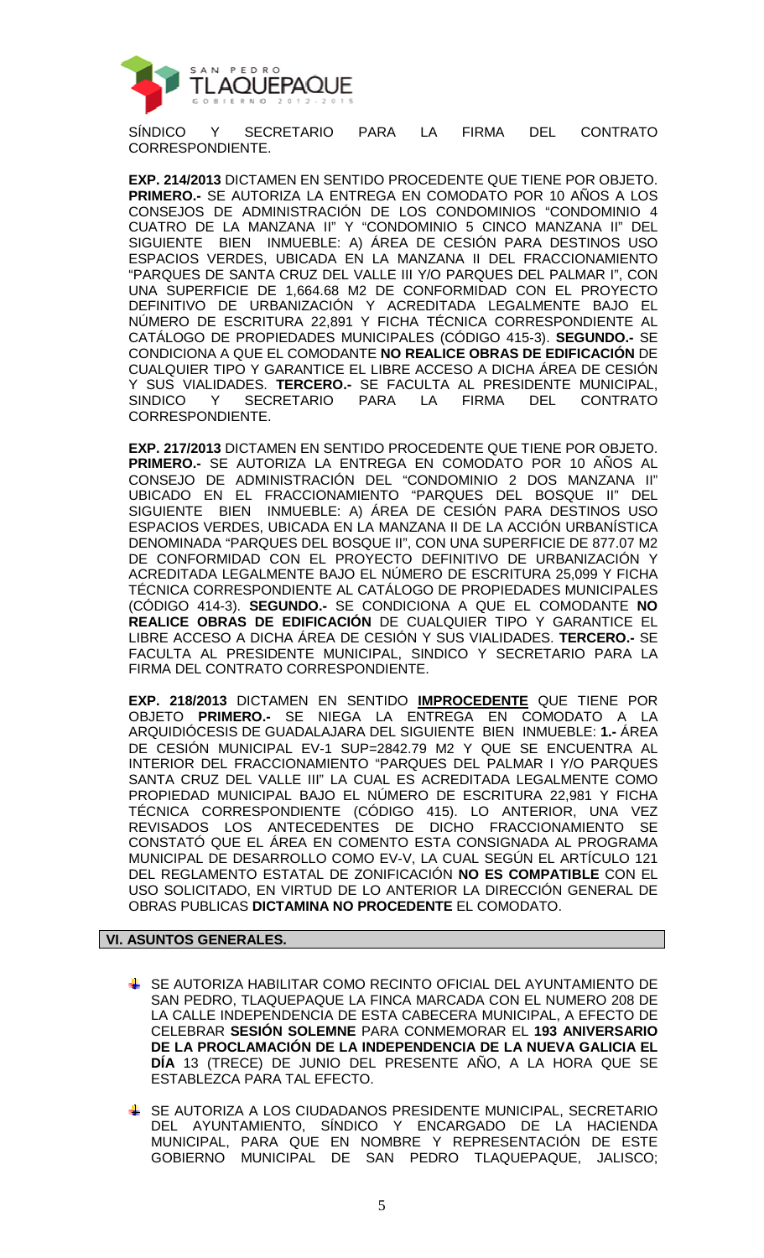

SÍNDICO Y SECRETARIO PARA LA FIRMA DEL CONTRATO CORRESPONDIENTE.

**EXP. 214/2013** DICTAMEN EN SENTIDO PROCEDENTE QUE TIENE POR OBJETO. **PRIMERO.-** SE AUTORIZA LA ENTREGA EN COMODATO POR 10 AÑOS A LOS CONSEJOS DE ADMINISTRACIÓN DE LOS CONDOMINIOS "CONDOMINIO 4 CUATRO DE LA MANZANA II" Y "CONDOMINIO 5 CINCO MANZANA II" DEL SIGUIENTE BIEN INMUEBLE: A) ÁREA DE CESIÓN PARA DESTINOS USO ESPACIOS VERDES, UBICADA EN LA MANZANA II DEL FRACCIONAMIENTO "PARQUES DE SANTA CRUZ DEL VALLE III Y/O PARQUES DEL PALMAR I", CON UNA SUPERFICIE DE 1,664.68 M2 DE CONFORMIDAD CON EL PROYECTO DEFINITIVO DE URBANIZACIÓN Y ACREDITADA LEGALMENTE BAJO EL NÚMERO DE ESCRITURA 22,891 Y FICHA TÉCNICA CORRESPONDIENTE AL CATÁLOGO DE PROPIEDADES MUNICIPALES (CÓDIGO 415-3). **SEGUNDO.-** SE CONDICIONA A QUE EL COMODANTE **NO REALICE OBRAS DE EDIFICACIÓN** DE CUALQUIER TIPO Y GARANTICE EL LIBRE ACCESO A DICHA ÁREA DE CESIÓN Y SUS VIALIDADES. **TERCERO.-** SE FACULTA AL PRESIDENTE MUNICIPAL, SINDICO Y SECRETARIO PARA LA FIRMA DEL CONTRATO CORRESPONDIENTE.

**EXP. 217/2013** DICTAMEN EN SENTIDO PROCEDENTE QUE TIENE POR OBJETO. **PRIMERO.-** SE AUTORIZA LA ENTREGA EN COMODATO POR 10 AÑOS AL CONSEJO DE ADMINISTRACIÓN DEL "CONDOMINIO 2 DOS MANZANA II" UBICADO EN EL FRACCIONAMIENTO "PARQUES DEL BOSQUE II" DEL SIGUIENTE BIEN INMUEBLE: A) ÁREA DE CESIÓN PARA DESTINOS USO ESPACIOS VERDES, UBICADA EN LA MANZANA II DE LA ACCIÓN URBANÍSTICA DENOMINADA "PARQUES DEL BOSQUE II", CON UNA SUPERFICIE DE 877.07 M2 DE CONFORMIDAD CON EL PROYECTO DEFINITIVO DE URBANIZACIÓN Y ACREDITADA LEGALMENTE BAJO EL NÚMERO DE ESCRITURA 25,099 Y FICHA TÉCNICA CORRESPONDIENTE AL CATÁLOGO DE PROPIEDADES MUNICIPALES (CÓDIGO 414-3). **SEGUNDO.-** SE CONDICIONA A QUE EL COMODANTE **NO REALICE OBRAS DE EDIFICACIÓN** DE CUALQUIER TIPO Y GARANTICE EL LIBRE ACCESO A DICHA ÁREA DE CESIÓN Y SUS VIALIDADES. **TERCERO.-** SE FACULTA AL PRESIDENTE MUNICIPAL, SINDICO Y SECRETARIO PARA LA FIRMA DEL CONTRATO CORRESPONDIENTE.

**EXP. 218/2013** DICTAMEN EN SENTIDO **IMPROCEDENTE** QUE TIENE POR OBJETO **PRIMERO.-** SE NIEGA LA ENTREGA EN COMODATO A LA ARQUIDIÓCESIS DE GUADALAJARA DEL SIGUIENTE BIEN INMUEBLE: **1.-** ÁREA DE CESIÓN MUNICIPAL EV-1 SUP=2842.79 M2 Y QUE SE ENCUENTRA AL INTERIOR DEL FRACCIONAMIENTO "PARQUES DEL PALMAR I Y/O PARQUES SANTA CRUZ DEL VALLE III" LA CUAL ES ACREDITADA LEGALMENTE COMO PROPIEDAD MUNICIPAL BAJO EL NÚMERO DE ESCRITURA 22,981 Y FICHA TÉCNICA CORRESPONDIENTE (CÓDIGO 415). LO ANTERIOR, UNA VEZ REVISADOS LOS ANTECEDENTES DE DICHO FRACCIONAMIENTO SE CONSTATÓ QUE EL ÁREA EN COMENTO ESTA CONSIGNADA AL PROGRAMA MUNICIPAL DE DESARROLLO COMO EV-V, LA CUAL SEGÚN EL ARTÍCULO 121 DEL REGLAMENTO ESTATAL DE ZONIFICACIÓN **NO ES COMPATIBLE** CON EL USO SOLICITADO, EN VIRTUD DE LO ANTERIOR LA DIRECCIÓN GENERAL DE OBRAS PUBLICAS **DICTAMINA NO PROCEDENTE** EL COMODATO.

## **VI. ASUNTOS GENERALES.**

- SE AUTORIZA HABILITAR COMO RECINTO OFICIAL DEL AYUNTAMIENTO DE SAN PEDRO, TLAQUEPAQUE LA FINCA MARCADA CON EL NUMERO 208 DE LA CALLE INDEPENDENCIA DE ESTA CABECERA MUNICIPAL, A EFECTO DE CELEBRAR **SESIÓN SOLEMNE** PARA CONMEMORAR EL **193 ANIVERSARIO DE LA PROCLAMACIÓN DE LA INDEPENDENCIA DE LA NUEVA GALICIA EL DÍA** 13 (TRECE) DE JUNIO DEL PRESENTE AÑO, A LA HORA QUE SE ESTABLEZCA PARA TAL EFECTO.
- SE AUTORIZA A LOS CIUDADANOS PRESIDENTE MUNICIPAL, SECRETARIO DEL AYUNTAMIENTO, SÍNDICO Y ENCARGADO DE LA HACIENDA MUNICIPAL, PARA QUE EN NOMBRE Y REPRESENTACIÓN DE ESTE GOBIERNO MUNICIPAL DE SAN PEDRO TLAQUEPAQUE, JALISCO;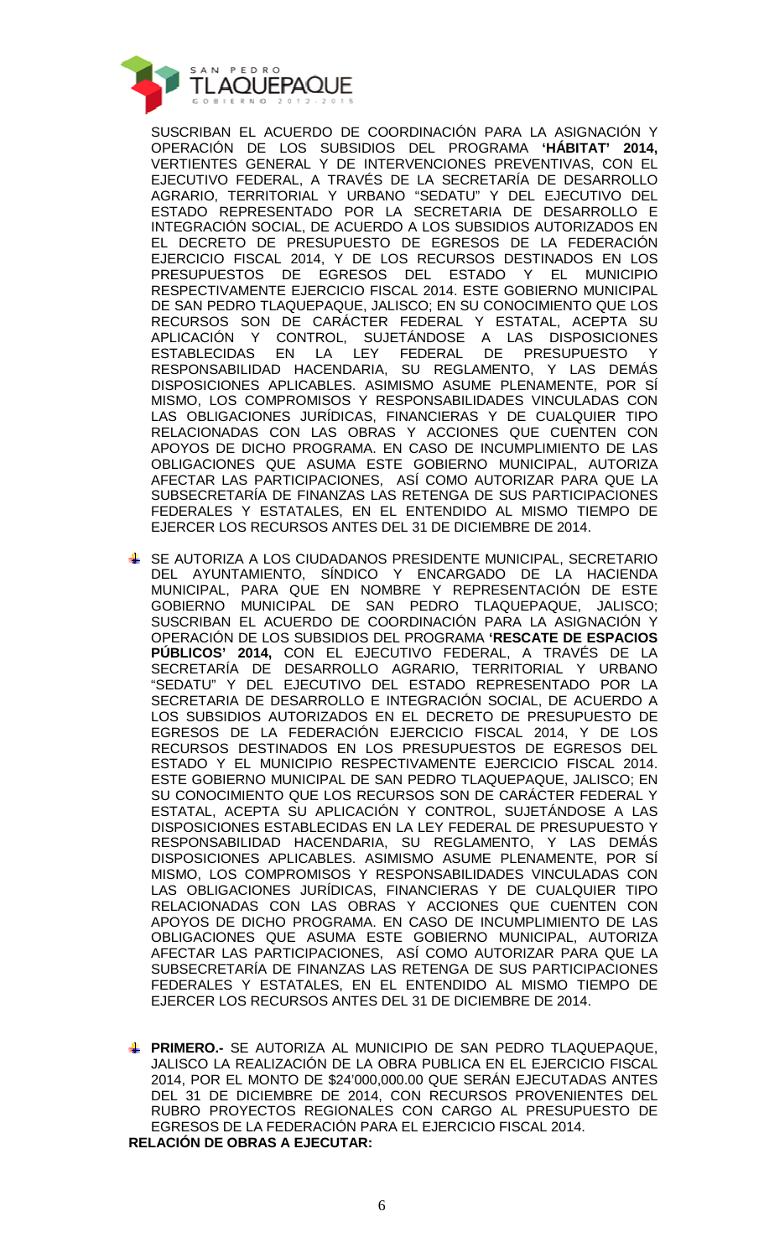

SUSCRIBAN EL ACUERDO DE COORDINACIÓN PARA LA ASIGNACIÓN Y OPERACIÓN DE LOS SUBSIDIOS DEL PROGRAMA **'HÁBITAT' 2014,** VERTIENTES GENERAL Y DE INTERVENCIONES PREVENTIVAS, CON EL EJECUTIVO FEDERAL, A TRAVÉS DE LA SECRETARÍA DE DESARROLLO AGRARIO, TERRITORIAL Y URBANO "SEDATU" Y DEL EJECUTIVO DEL ESTADO REPRESENTADO POR LA SECRETARIA DE DESARROLLO E INTEGRACIÓN SOCIAL, DE ACUERDO A LOS SUBSIDIOS AUTORIZADOS EN EL DECRETO DE PRESUPUESTO DE EGRESOS DE LA FEDERACIÓN EJERCICIO FISCAL 2014, Y DE LOS RECURSOS DESTINADOS EN LOS PRESUPUESTOS DE EGRESOS DEL ESTADO Y EL MUNICIPIO RESPECTIVAMENTE EJERCICIO FISCAL 2014. ESTE GOBIERNO MUNICIPAL DE SAN PEDRO TLAQUEPAQUE, JALISCO; EN SU CONOCIMIENTO QUE LOS RECURSOS SON DE CARÁCTER FEDERAL Y ESTATAL, ACEPTA SU APLICACIÓN Y CONTROL, SUJETÁNDOSE A LAS DISPOSICIONES ESTABLECIDAS EN LA LEY FEDERAL DE PRESUPUESTO Y RESPONSABILIDAD HACENDARIA, SU REGLAMENTO, Y LAS DEMÁS DISPOSICIONES APLICABLES. ASIMISMO ASUME PLENAMENTE, POR SÍ MISMO, LOS COMPROMISOS Y RESPONSABILIDADES VINCULADAS CON LAS OBLIGACIONES JURÍDICAS, FINANCIERAS Y DE CUALQUIER TIPO RELACIONADAS CON LAS OBRAS Y ACCIONES QUE CUENTEN CON APOYOS DE DICHO PROGRAMA. EN CASO DE INCUMPLIMIENTO DE LAS OBLIGACIONES QUE ASUMA ESTE GOBIERNO MUNICIPAL, AUTORIZA AFECTAR LAS PARTICIPACIONES, ASÍ COMO AUTORIZAR PARA QUE LA SUBSECRETARÍA DE FINANZAS LAS RETENGA DE SUS PARTICIPACIONES FEDERALES Y ESTATALES, EN EL ENTENDIDO AL MISMO TIEMPO DE EJERCER LOS RECURSOS ANTES DEL 31 DE DICIEMBRE DE 2014.

- SE AUTORIZA A LOS CIUDADANOS PRESIDENTE MUNICIPAL, SECRETARIO DEL AYUNTAMIENTO, SÍNDICO Y ENCARGADO DE LA HACIENDA MUNICIPAL, PARA QUE EN NOMBRE Y REPRESENTACIÓN DE ESTE GOBIERNO MUNICIPAL DE SAN PEDRO TLAQUEPAQUE, JALISCO; SUSCRIBAN EL ACUERDO DE COORDINACIÓN PARA LA ASIGNACIÓN Y OPERACIÓN DE LOS SUBSIDIOS DEL PROGRAMA **'RESCATE DE ESPACIOS PÚBLICOS' 2014,** CON EL EJECUTIVO FEDERAL, A TRAVÉS DE LA SECRETARÍA DE DESARROLLO AGRARIO, TERRITORIAL Y URBANO "SEDATU" Y DEL EJECUTIVO DEL ESTADO REPRESENTADO POR LA SECRETARIA DE DESARROLLO E INTEGRACIÓN SOCIAL, DE ACUERDO A LOS SUBSIDIOS AUTORIZADOS EN EL DECRETO DE PRESUPUESTO DE EGRESOS DE LA FEDERACIÓN EJERCICIO FISCAL 2014, Y DE LOS RECURSOS DESTINADOS EN LOS PRESUPUESTOS DE EGRESOS DEL ESTADO Y EL MUNICIPIO RESPECTIVAMENTE EJERCICIO FISCAL 2014. ESTE GOBIERNO MUNICIPAL DE SAN PEDRO TLAQUEPAQUE, JALISCO; EN SU CONOCIMIENTO QUE LOS RECURSOS SON DE CARÁCTER FEDERAL Y ESTATAL, ACEPTA SU APLICACIÓN Y CONTROL, SUJETÁNDOSE A LAS DISPOSICIONES ESTABLECIDAS EN LA LEY FEDERAL DE PRESUPUESTO Y RESPONSABILIDAD HACENDARIA, SU REGLAMENTO, Y LAS DEMÁS DISPOSICIONES APLICABLES. ASIMISMO ASUME PLENAMENTE, POR SÍ MISMO, LOS COMPROMISOS Y RESPONSABILIDADES VINCULADAS CON LAS OBLIGACIONES JURÍDICAS, FINANCIERAS Y DE CUALQUIER TIPO RELACIONADAS CON LAS OBRAS Y ACCIONES QUE CUENTEN CON APOYOS DE DICHO PROGRAMA. EN CASO DE INCUMPLIMIENTO DE LAS OBLIGACIONES QUE ASUMA ESTE GOBIERNO MUNICIPAL, AUTORIZA AFECTAR LAS PARTICIPACIONES, ASÍ COMO AUTORIZAR PARA QUE LA SUBSECRETARÍA DE FINANZAS LAS RETENGA DE SUS PARTICIPACIONES FEDERALES Y ESTATALES, EN EL ENTENDIDO AL MISMO TIEMPO DE EJERCER LOS RECURSOS ANTES DEL 31 DE DICIEMBRE DE 2014.
- **PRIMERO.-** SE AUTORIZA AL MUNICIPIO DE SAN PEDRO TLAQUEPAQUE, JALISCO LA REALIZACIÓN DE LA OBRA PUBLICA EN EL EJERCICIO FISCAL 2014, POR EL MONTO DE \$24'000,000.00 QUE SERÁN EJECUTADAS ANTES DEL 31 DE DICIEMBRE DE 2014, CON RECURSOS PROVENIENTES DEL RUBRO PROYECTOS REGIONALES CON CARGO AL PRESUPUESTO DE EGRESOS DE LA FEDERACIÓN PARA EL EJERCICIO FISCAL 2014. **RELACIÓN DE OBRAS A EJECUTAR:**